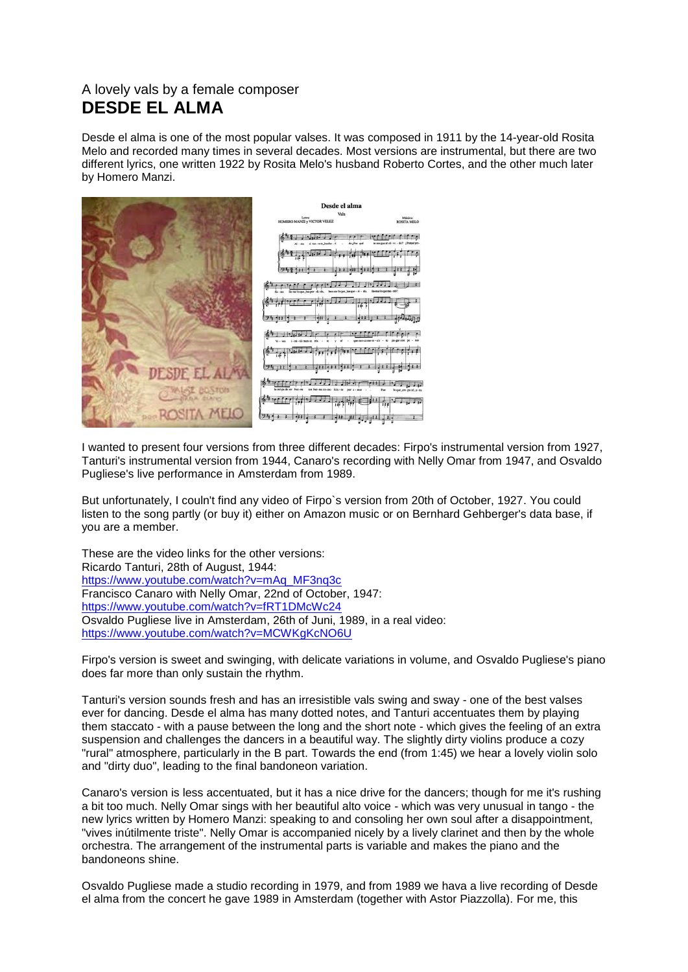## A lovely vals by a female composer **DESDE EL ALMA**

Desde el alma is one of the most popular valses. It was composed in 1911 by the 14-year-old Rosita Melo and recorded many times in several decades. Most versions are instrumental, but there are two different lyrics, one written 1922 by Rosita Melo's husband Roberto Cortes, and the other much later by Homero Manzi.



I wanted to present four versions from three different decades: Firpo's instrumental version from 1927, Tanturi's instrumental version from 1944, Canaro's recording with Nelly Omar from 1947, and Osvaldo Pugliese's live performance in Amsterdam from 1989.

But unfortunately, I couln't find any video of Firpo`s version from 20th of October, 1927. You could listen to the song partly (or buy it) either on Amazon music or on Bernhard Gehberger's data base, if you are a member.

These are the video links for the other versions: Ricardo Tanturi, 28th of August, 1944: [https://www.youtube.com/watch?v=mAq\\_MF3nq3c](https://www.youtube.com/watch?v=mAq_MF3nq3c) Francisco Canaro with Nelly Omar, 22nd of October, 1947: <https://www.youtube.com/watch?v=fRT1DMcWc24> Osvaldo Pugliese live in Amsterdam, 26th of Juni, 1989, in a real video: <https://www.youtube.com/watch?v=MCWKgKcNO6U>

Firpo's version is sweet and swinging, with delicate variations in volume, and Osvaldo Pugliese's piano does far more than only sustain the rhythm.

Tanturi's version sounds fresh and has an irresistible vals swing and sway - one of the best valses ever for dancing. Desde el alma has many dotted notes, and Tanturi accentuates them by playing them staccato - with a pause between the long and the short note - which gives the feeling of an extra suspension and challenges the dancers in a beautiful way. The slightly dirty violins produce a cozy "rural" atmosphere, particularly in the B part. Towards the end (from 1:45) we hear a lovely violin solo and "dirty duo", leading to the final bandoneon variation.

Canaro's version is less accentuated, but it has a nice drive for the dancers; though for me it's rushing a bit too much. Nelly Omar sings with her beautiful alto voice - which was very unusual in tango - the new lyrics written by Homero Manzi: speaking to and consoling her own soul after a disappointment, "vives inútilmente triste". Nelly Omar is accompanied nicely by a lively clarinet and then by the whole orchestra. The arrangement of the instrumental parts is variable and makes the piano and the bandoneons shine.

Osvaldo Pugliese made a studio recording in 1979, and from 1989 we hava a live recording of Desde el alma from the concert he gave 1989 in Amsterdam (together with Astor Piazzolla). For me, this